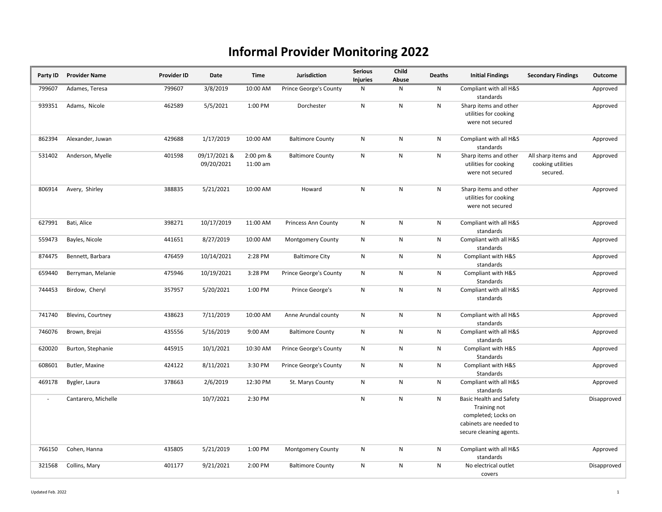## Informal Provider Monitoring 2022

| Party ID | <b>Provider Name</b> | <b>Provider ID</b> | Date                       | Time                  | Jurisdiction                  | <b>Serious</b><br><b>Injuries</b> | Child<br>Abuse | <b>Deaths</b> | <b>Initial Findings</b>                                                                                                    | <b>Secondary Findings</b>                            | Outcome     |
|----------|----------------------|--------------------|----------------------------|-----------------------|-------------------------------|-----------------------------------|----------------|---------------|----------------------------------------------------------------------------------------------------------------------------|------------------------------------------------------|-------------|
| 799607   | Adames, Teresa       | 799607             | 3/8/2019                   | 10:00 AM              | <b>Prince George's County</b> | N                                 | N              | N             | Compliant with all H&S<br>standards                                                                                        |                                                      | Approved    |
| 939351   | Adams, Nicole        | 462589             | 5/5/2021                   | 1:00 PM               | Dorchester                    | N                                 | $\mathsf{N}$   | N             | Sharp items and other<br>utilities for cooking<br>were not secured                                                         |                                                      | Approved    |
| 862394   | Alexander, Juwan     | 429688             | 1/17/2019                  | 10:00 AM              | <b>Baltimore County</b>       | N                                 | N              | N             | Compliant with all H&S<br>standards                                                                                        |                                                      | Approved    |
| 531402   | Anderson, Myelle     | 401598             | 09/17/2021 &<br>09/20/2021 | 2:00 pm &<br>11:00 am | <b>Baltimore County</b>       | N                                 | ${\sf N}$      | N             | Sharp items and other<br>utilities for cooking<br>were not secured                                                         | All sharp items and<br>cooking utilities<br>secured. | Approved    |
| 806914   | Avery, Shirley       | 388835             | 5/21/2021                  | 10:00 AM              | Howard                        | N                                 | $\mathsf{N}$   | N             | Sharp items and other<br>utilities for cooking<br>were not secured                                                         |                                                      | Approved    |
| 627991   | Bati, Alice          | 398271             | 10/17/2019                 | 11:00 AM              | <b>Princess Ann County</b>    | N                                 | N              | N             | Compliant with all H&S<br>standards                                                                                        |                                                      | Approved    |
| 559473   | Bayles, Nicole       | 441651             | 8/27/2019                  | 10:00 AM              | <b>Montgomery County</b>      | ${\sf N}$                         | ${\sf N}$      | N             | Compliant with all H&S<br>standards                                                                                        |                                                      | Approved    |
| 874475   | Bennett, Barbara     | 476459             | 10/14/2021                 | 2:28 PM               | <b>Baltimore City</b>         | ${\sf N}$                         | ${\sf N}$      | ${\sf N}$     | Compliant with H&S<br>standards                                                                                            |                                                      | Approved    |
| 659440   | Berryman, Melanie    | 475946             | 10/19/2021                 | 3:28 PM               | <b>Prince George's County</b> | ${\sf N}$                         | ${\sf N}$      | N             | Compliant with H&S<br>Standards                                                                                            |                                                      | Approved    |
| 744453   | Birdow, Cheryl       | 357957             | 5/20/2021                  | 1:00 PM               | Prince George's               | ${\sf N}$                         | ${\sf N}$      | N             | Compliant with all H&S<br>standards                                                                                        |                                                      | Approved    |
| 741740   | Blevins, Courtney    | 438623             | 7/11/2019                  | 10:00 AM              | Anne Arundal county           | ${\sf N}$                         | ${\sf N}$      | N             | Compliant with all H&S<br>standards                                                                                        |                                                      | Approved    |
| 746076   | Brown, Brejai        | 435556             | 5/16/2019                  | 9:00 AM               | <b>Baltimore County</b>       | N                                 | ${\sf N}$      | N             | Compliant with all H&S<br>standards                                                                                        |                                                      | Approved    |
| 620020   | Burton, Stephanie    | 445915             | 10/1/2021                  | 10:30 AM              | Prince George's County        | ${\sf N}$                         | ${\sf N}$      | N             | Compliant with H&S<br>Standards                                                                                            |                                                      | Approved    |
| 608601   | Butler, Maxine       | 424122             | 8/11/2021                  | 3:30 PM               | Prince George's County        | N                                 | N              | N             | Compliant with H&S<br>Standards                                                                                            |                                                      | Approved    |
| 469178   | Bygler, Laura        | 378663             | 2/6/2019                   | 12:30 PM              | St. Marys County              | N                                 | N              | N             | Compliant with all H&S<br>standards                                                                                        |                                                      | Approved    |
| $\sim$   | Cantarero, Michelle  |                    | 10/7/2021                  | 2:30 PM               |                               | N                                 | ${\sf N}$      | ${\sf N}$     | <b>Basic Health and Safety</b><br>Training not<br>completed; Locks on<br>cabinets are needed to<br>secure cleaning agents. |                                                      | Disapproved |
| 766150   | Cohen, Hanna         | 435805             | 5/21/2019                  | 1:00 PM               | Montgomery County             | N                                 | ${\sf N}$      | N             | Compliant with all H&S<br>standards                                                                                        |                                                      | Approved    |
| 321568   | Collins, Mary        | 401177             | 9/21/2021                  | 2:00 PM               | <b>Baltimore County</b>       | N                                 | N              | N             | No electrical outlet<br>covers                                                                                             |                                                      | Disapproved |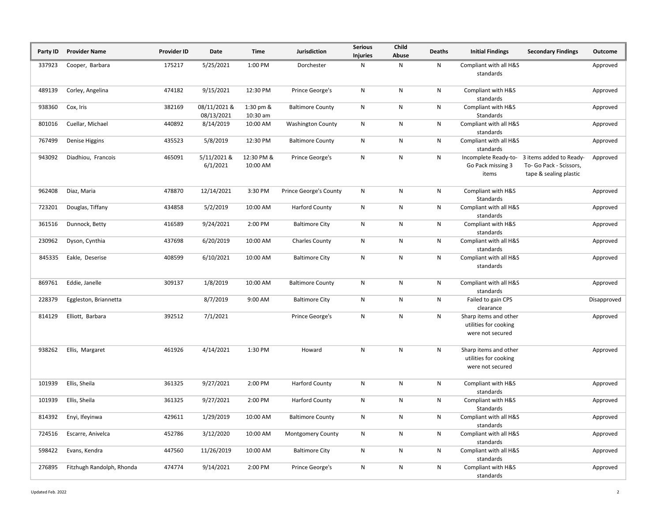| Party ID | <b>Provider Name</b>      | <b>Provider ID</b> | Date                       | <b>Time</b>             | Jurisdiction                  | <b>Serious</b><br><b>Injuries</b> | Child<br>Abuse | <b>Deaths</b> | <b>Initial Findings</b>                                            | <b>Secondary Findings</b>                                                    | Outcome     |
|----------|---------------------------|--------------------|----------------------------|-------------------------|-------------------------------|-----------------------------------|----------------|---------------|--------------------------------------------------------------------|------------------------------------------------------------------------------|-------------|
| 337923   | Cooper, Barbara           | 175217             | 5/25/2021                  | 1:00 PM                 | Dorchester                    | N                                 | ${\sf N}$      | N             | Compliant with all H&S<br>standards                                |                                                                              | Approved    |
| 489139   | Corley, Angelina          | 474182             | 9/15/2021                  | 12:30 PM                | Prince George's               | N                                 | ${\sf N}$      | $\mathsf{N}$  | Compliant with H&S<br>standards                                    |                                                                              | Approved    |
| 938360   | Cox, Iris                 | 382169             | 08/11/2021 &<br>08/13/2021 | 1:30 pm &<br>$10:30$ am | <b>Baltimore County</b>       | N                                 | N              | N             | Compliant with H&S<br>Standards                                    |                                                                              | Approved    |
| 801016   | Cuellar, Michael          | 440892             | 8/14/2019                  | 10:00 AM                | <b>Washington County</b>      | N                                 | ${\sf N}$      | ${\sf N}$     | Compliant with all H&S<br>standards                                |                                                                              | Approved    |
| 767499   | Denise Higgins            | 435523             | 5/8/2019                   | 12:30 PM                | <b>Baltimore County</b>       | N                                 | $\mathsf{N}$   | N             | Compliant with all H&S<br>standards                                |                                                                              | Approved    |
| 943092   | Diadhiou, Francois        | 465091             | 5/11/2021 &<br>6/1/2021    | 12:30 PM &<br>10:00 AM  | Prince George's               | N                                 | ${\sf N}$      | ${\sf N}$     | Incomplete Ready-to-<br>Go Pack missing 3<br>items                 | 3 items added to Ready-<br>To- Go Pack - Scissors,<br>tape & sealing plastic | Approved    |
| 962408   | Diaz, Maria               | 478870             | 12/14/2021                 | 3:30 PM                 | <b>Prince George's County</b> | N                                 | N              | N             | Compliant with H&S<br>Standards                                    |                                                                              | Approved    |
| 723201   | Douglas, Tiffany          | 434858             | 5/2/2019                   | 10:00 AM                | <b>Harford County</b>         | N                                 | ${\sf N}$      | ${\sf N}$     | Compliant with all H&S<br>standards                                |                                                                              | Approved    |
| 361516   | Dunnock, Betty            | 416589             | 9/24/2021                  | 2:00 PM                 | <b>Baltimore City</b>         | N                                 | $\mathsf{N}$   | N             | Compliant with H&S<br>standards                                    |                                                                              | Approved    |
| 230962   | Dyson, Cynthia            | 437698             | 6/20/2019                  | 10:00 AM                | <b>Charles County</b>         | N                                 | N              | N             | Compliant with all H&S<br>standards                                |                                                                              | Approved    |
| 845335   | Eakle, Deserise           | 408599             | 6/10/2021                  | 10:00 AM                | <b>Baltimore City</b>         | N                                 | ${\sf N}$      | ${\sf N}$     | Compliant with all H&S<br>standards                                |                                                                              | Approved    |
| 869761   | Eddie, Janelle            | 309137             | 1/8/2019                   | 10:00 AM                | <b>Baltimore County</b>       | N                                 | ${\sf N}$      | N             | Compliant with all H&S<br>standards                                |                                                                              | Approved    |
| 228379   | Eggleston, Briannetta     |                    | 8/7/2019                   | 9:00 AM                 | <b>Baltimore City</b>         | N                                 | ${\sf N}$      | ${\sf N}$     | Failed to gain CPS<br>clearance                                    |                                                                              | Disapproved |
| 814129   | Elliott, Barbara          | 392512             | 7/1/2021                   |                         | Prince George's               | N                                 | N              | N             | Sharp items and other<br>utilities for cooking<br>were not secured |                                                                              | Approved    |
| 938262   | Ellis, Margaret           | 461926             | 4/14/2021                  | 1:30 PM                 | Howard                        | N                                 | ${\sf N}$      | ${\sf N}$     | Sharp items and other<br>utilities for cooking<br>were not secured |                                                                              | Approved    |
| 101939   | Ellis, Sheila             | 361325             | 9/27/2021                  | 2:00 PM                 | <b>Harford County</b>         | N                                 | N              | N             | Compliant with H&S<br>standards                                    |                                                                              | Approved    |
| 101939   | Ellis, Sheila             | 361325             | 9/27/2021                  | 2:00 PM                 | <b>Harford County</b>         | N                                 | ${\sf N}$      | ${\sf N}$     | Compliant with H&S<br>Standards                                    |                                                                              | Approved    |
| 814392   | Enyi, Ifeyinwa            | 429611             | 1/29/2019                  | 10:00 AM                | <b>Baltimore County</b>       | N                                 | ${\sf N}$      | N             | Compliant with all H&S<br>standards                                |                                                                              | Approved    |
| 724516   | Escarre, Anivelca         | 452786             | 3/12/2020                  | 10:00 AM                | <b>Montgomery County</b>      | N                                 | N              | $\mathsf{N}$  | Compliant with all H&S<br>standards                                |                                                                              | Approved    |
| 598422   | Evans, Kendra             | 447560             | 11/26/2019                 | 10:00 AM                | <b>Baltimore City</b>         | N                                 | ${\sf N}$      | N             | Compliant with all H&S<br>standards                                |                                                                              | Approved    |
| 276895   | Fitzhugh Randolph, Rhonda | 474774             | 9/14/2021                  | 2:00 PM                 | Prince George's               | N                                 | N              | N             | Compliant with H&S<br>standards                                    |                                                                              | Approved    |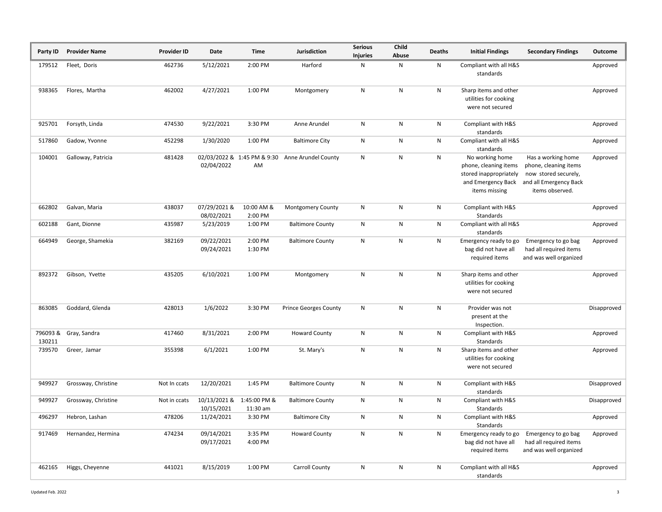| Party ID           | <b>Provider Name</b>  | <b>Provider ID</b> | Date                       | Time                       | Jurisdiction                                    | <b>Serious</b><br><b>Injuries</b> | Child<br>Abuse | Deaths | <b>Initial Findings</b>                                                                                   | <b>Secondary Findings</b>                                                                                        | Outcome     |
|--------------------|-----------------------|--------------------|----------------------------|----------------------------|-------------------------------------------------|-----------------------------------|----------------|--------|-----------------------------------------------------------------------------------------------------------|------------------------------------------------------------------------------------------------------------------|-------------|
| 179512             | Fleet, Doris          | 462736             | 5/12/2021                  | 2:00 PM                    | Harford                                         | N                                 | Ν              | N      | Compliant with all H&S<br>standards                                                                       |                                                                                                                  | Approved    |
| 938365             | Flores, Martha        | 462002             | 4/27/2021                  | 1:00 PM                    | Montgomery                                      | N                                 | N              | N      | Sharp items and other<br>utilities for cooking<br>were not secured                                        |                                                                                                                  | Approved    |
| 925701             | Forsyth, Linda        | 474530             | 9/22/2021                  | 3:30 PM                    | Anne Arundel                                    | N                                 | Ν              | N      | Compliant with H&S<br>standards                                                                           |                                                                                                                  | Approved    |
| 517860             | Gadow, Yvonne         | 452298             | 1/30/2020                  | 1:00 PM                    | <b>Baltimore City</b>                           | N                                 | Ν              | N      | Compliant with all H&S<br>standards                                                                       |                                                                                                                  | Approved    |
| 104001             | Galloway, Patricia    | 481428             | 02/04/2022                 | AM                         | 02/03/2022 & 1:45 PM & 9:30 Anne Arundel County | ${\sf N}$                         | N              | N      | No working home<br>phone, cleaning items<br>stored inappropriately<br>and Emergency Back<br>items missing | Has a working home<br>phone, cleaning items<br>now stored securely,<br>and all Emergency Back<br>items observed. | Approved    |
| 662802             | Galvan, Maria         | 438037             | 07/29/2021 &<br>08/02/2021 | 10:00 AM &<br>2:00 PM      | <b>Montgomery County</b>                        | N                                 | N              | N      | Compliant with H&S<br>Standards                                                                           |                                                                                                                  | Approved    |
| 602188             | Gant, Dionne          | 435987             | 5/23/2019                  | 1:00 PM                    | <b>Baltimore County</b>                         | Ν                                 | N              | N      | Compliant with all H&S<br>standards                                                                       |                                                                                                                  | Approved    |
| 664949             | George, Shamekia      | 382169             | 09/22/2021<br>09/24/2021   | 2:00 PM<br>1:30 PM         | <b>Baltimore County</b>                         | N                                 | N              | N      | Emergency ready to go<br>bag did not have all<br>required items                                           | Emergency to go bag<br>had all required items<br>and was well organized                                          | Approved    |
| 892372             | Gibson, Yvette        | 435205             | 6/10/2021                  | 1:00 PM                    | Montgomery                                      | N                                 | ${\sf N}$      | N      | Sharp items and other<br>utilities for cooking<br>were not secured                                        |                                                                                                                  | Approved    |
| 863085             | Goddard, Glenda       | 428013             | 1/6/2022                   | 3:30 PM                    | <b>Prince Georges County</b>                    | N                                 | N              | N      | Provider was not<br>present at the<br>Inspection.                                                         |                                                                                                                  | Disapproved |
| 796093 &<br>130211 | Gray, Sandra          | 417460             | 8/31/2021                  | 2:00 PM                    | <b>Howard County</b>                            | N                                 | N              | N      | Compliant with H&S<br>Standards                                                                           |                                                                                                                  | Approved    |
| 739570             | Greer, Jamar          | 355398             | 6/1/2021                   | 1:00 PM                    | St. Mary's                                      | N                                 | N              | N      | Sharp items and other<br>utilities for cooking<br>were not secured                                        |                                                                                                                  | Approved    |
| 949927             | Grossway, Christine   | Not In ccats       | 12/20/2021                 | 1:45 PM                    | <b>Baltimore County</b>                         | N                                 | Ν              | N      | Compliant with H&S<br>standards                                                                           |                                                                                                                  | Disapproved |
| 949927             | Grossway, Christine   | Not in ccats       | 10/13/2021 &<br>10/15/2021 | 1:45:00 PM &<br>$11:30$ am | <b>Baltimore County</b>                         | N                                 | N              | N      | Compliant with H&S<br>Standards                                                                           |                                                                                                                  | Disapproved |
|                    | 496297 Hebron, Lashan | 478206             | 11/24/2021                 | 3:30 PM                    | <b>Baltimore City</b>                           | N                                 | N              | N      | Compliant with H&S<br>Standards                                                                           |                                                                                                                  | Approved    |
| 917469             | Hernandez, Hermina    | 474234             | 09/14/2021<br>09/17/2021   | 3:35 PM<br>4:00 PM         | <b>Howard County</b>                            | N                                 | N              | N      | Emergency ready to go<br>bag did not have all<br>required items                                           | Emergency to go bag<br>had all required items<br>and was well organized                                          | Approved    |
| 462165             | Higgs, Cheyenne       | 441021             | 8/15/2019                  | 1:00 PM                    | Carroll County                                  | N                                 | N              | N      | Compliant with all H&S<br>standards                                                                       |                                                                                                                  | Approved    |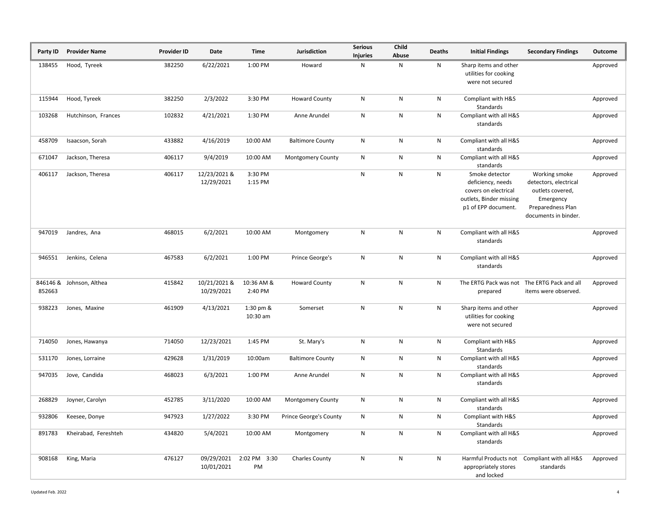| Party ID           | <b>Provider Name</b> | <b>Provider ID</b> | Date                       | Time                  | Jurisdiction             | <b>Serious</b><br><b>Injuries</b> | Child<br>Abuse | Deaths | <b>Initial Findings</b>                                                                                       | <b>Secondary Findings</b>                                                                                            | Outcome  |
|--------------------|----------------------|--------------------|----------------------------|-----------------------|--------------------------|-----------------------------------|----------------|--------|---------------------------------------------------------------------------------------------------------------|----------------------------------------------------------------------------------------------------------------------|----------|
| 138455             | Hood, Tyreek         | 382250             | 6/22/2021                  | 1:00 PM               | Howard                   | Ν                                 | N              | N      | Sharp items and other<br>utilities for cooking<br>were not secured                                            |                                                                                                                      | Approved |
| 115944             | Hood, Tyreek         | 382250             | 2/3/2022                   | 3:30 PM               | <b>Howard County</b>     | N                                 | N              | N      | Compliant with H&S<br>Standards                                                                               |                                                                                                                      | Approved |
| 103268             | Hutchinson, Frances  | 102832             | 4/21/2021                  | 1:30 PM               | Anne Arundel             | N                                 | ${\sf N}$      | N      | Compliant with all H&S<br>standards                                                                           |                                                                                                                      | Approved |
| 458709             | Isaacson, Sorah      | 433882             | 4/16/2019                  | 10:00 AM              | <b>Baltimore County</b>  | N                                 | N              | N      | Compliant with all H&S<br>standards                                                                           |                                                                                                                      | Approved |
| 671047             | Jackson, Theresa     | 406117             | 9/4/2019                   | 10:00 AM              | <b>Montgomery County</b> | N                                 | N              | Ν      | Compliant with all H&S<br>standards                                                                           |                                                                                                                      | Approved |
| 406117             | Jackson, Theresa     | 406117             | 12/23/2021 &<br>12/29/2021 | 3:30 PM<br>1:15 PM    |                          | N                                 | ${\sf N}$      | N      | Smoke detector<br>deficiency, needs<br>covers on electrical<br>outlets, Binder missing<br>p1 of EPP document. | Working smoke<br>detectors, electrical<br>outlets covered,<br>Emergency<br>Preparedness Plan<br>documents in binder. | Approved |
| 947019             | Jandres, Ana         | 468015             | 6/2/2021                   | 10:00 AM              | Montgomery               | N                                 | ${\sf N}$      | N      | Compliant with all H&S<br>standards                                                                           |                                                                                                                      | Approved |
| 946551             | Jenkins, Celena      | 467583             | 6/2/2021                   | 1:00 PM               | Prince George's          | N                                 | ${\sf N}$      | N      | Compliant with all H&S<br>standards                                                                           |                                                                                                                      | Approved |
| 846146 &<br>852663 | Johnson, Althea      | 415842             | 10/21/2021 &<br>10/29/2021 | 10:36 AM &<br>2:40 PM | <b>Howard County</b>     | N                                 | ${\sf N}$      | N      | The ERTG Pack was not The ERTG Pack and all<br>prepared                                                       | items were observed.                                                                                                 | Approved |
| 938223             | Jones, Maxine        | 461909             | 4/13/2021                  | 1:30 pm &<br>10:30 am | Somerset                 | N                                 | ${\sf N}$      | N      | Sharp items and other<br>utilities for cooking<br>were not secured                                            |                                                                                                                      | Approved |
| 714050             | Jones, Hawanya       | 714050             | 12/23/2021                 | 1:45 PM               | St. Mary's               | N                                 | ${\sf N}$      | N      | Compliant with H&S<br>Standards                                                                               |                                                                                                                      | Approved |
| 531170             | Jones, Lorraine      | 429628             | 1/31/2019                  | 10:00am               | <b>Baltimore County</b>  | N                                 | N              | N      | Compliant with all H&S<br>standards                                                                           |                                                                                                                      | Approved |
| 947035             | Jove, Candida        | 468023             | 6/3/2021                   | 1:00 PM               | Anne Arundel             | ${\sf N}$                         | ${\sf N}$      | N      | Compliant with all H&S<br>standards                                                                           |                                                                                                                      | Approved |
| 268829             | Joyner, Carolyn      | 452785             | 3/11/2020                  | 10:00 AM              | Montgomery County        | Ν                                 | N              | Ν      | Compliant with all H&S<br>standards                                                                           |                                                                                                                      | Approved |
|                    | 932806 Keesee, Donye | 947923             | 1/27/2022                  | 3:30 PM               | Prince George's County   | ${\sf N}$                         | N              | Ν      | Compliant with H&S<br>Standards                                                                               |                                                                                                                      | Approved |
| 891783             | Kheirabad, Fereshteh | 434820             | 5/4/2021                   | 10:00 AM              | Montgomery               | N                                 | ${\sf N}$      | N      | Compliant with all H&S<br>standards                                                                           |                                                                                                                      | Approved |
| 908168             | King, Maria          | 476127             | 09/29/2021<br>10/01/2021   | 2:02 PM 3:30<br>PM    | <b>Charles County</b>    | N                                 | $\mathsf{N}$   | N      | Harmful Products not<br>appropriately stores<br>and locked                                                    | Compliant with all H&S<br>standards                                                                                  | Approved |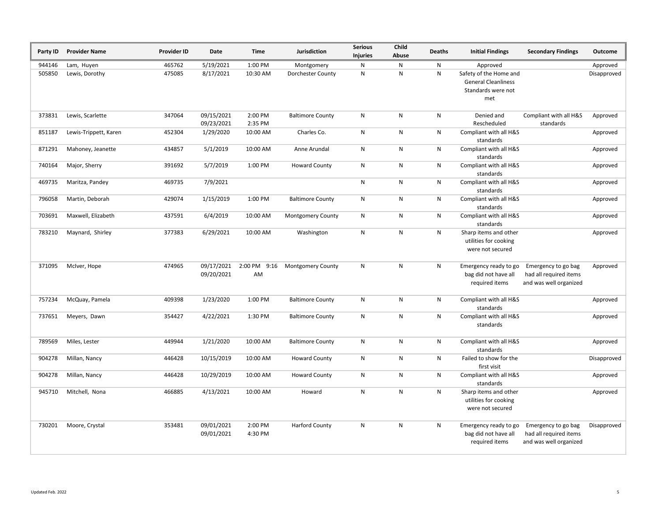| Party ID | <b>Provider Name</b>  | Provider ID | Date                     | Time               | Jurisdiction             | <b>Serious</b><br><b>Injuries</b> | Child<br>Abuse | <b>Deaths</b> | <b>Initial Findings</b>                                                           | <b>Secondary Findings</b>                                               | Outcome     |
|----------|-----------------------|-------------|--------------------------|--------------------|--------------------------|-----------------------------------|----------------|---------------|-----------------------------------------------------------------------------------|-------------------------------------------------------------------------|-------------|
| 944146   | Lam, Huyen            | 465762      | 5/19/2021                | 1:00 PM            | Montgomery               | N                                 | $\mathsf{N}$   | N             | Approved                                                                          |                                                                         | Approved    |
| 505850   | Lewis, Dorothy        | 475085      | 8/17/2021                | 10:30 AM           | Dorchester County        | $\mathsf{N}$                      | N              | N             | Safety of the Home and<br><b>General Cleanliness</b><br>Standards were not<br>met |                                                                         | Disapproved |
| 373831   | Lewis, Scarlette      | 347064      | 09/15/2021<br>09/23/2021 | 2:00 PM<br>2:35 PM | <b>Baltimore County</b>  | N                                 | N              | N             | Denied and<br>Rescheduled                                                         | Compliant with all H&S<br>standards                                     | Approved    |
| 851187   | Lewis-Trippett, Karen | 452304      | 1/29/2020                | 10:00 AM           | Charles Co.              | $\mathsf{N}$                      | N              | N             | Compliant with all H&S<br>standards                                               |                                                                         | Approved    |
| 871291   | Mahoney, Jeanette     | 434857      | 5/1/2019                 | 10:00 AM           | Anne Arundal             | $\mathsf{N}$                      | N              | N             | Compliant with all H&S<br>standards                                               |                                                                         | Approved    |
| 740164   | Major, Sherry         | 391692      | 5/7/2019                 | 1:00 PM            | <b>Howard County</b>     | N                                 | N              | N             | Compliant with all H&S<br>standards                                               |                                                                         | Approved    |
| 469735   | Maritza, Pandey       | 469735      | 7/9/2021                 |                    |                          | ${\sf N}$                         | ${\sf N}$      | N             | Compliant with all H&S<br>standards                                               |                                                                         | Approved    |
| 796058   | Martin, Deborah       | 429074      | 1/15/2019                | 1:00 PM            | <b>Baltimore County</b>  | ${\sf N}$                         | ${\sf N}$      | N             | Compliant with all H&S<br>standards                                               |                                                                         | Approved    |
| 703691   | Maxwell, Elizabeth    | 437591      | 6/4/2019                 | 10:00 AM           | <b>Montgomery County</b> | N                                 | N              | N             | Compliant with all H&S<br>standards                                               |                                                                         | Approved    |
| 783210   | Maynard, Shirley      | 377383      | 6/29/2021                | 10:00 AM           | Washington               | $\mathsf{N}$                      | N              | N             | Sharp items and other<br>utilities for cooking<br>were not secured                |                                                                         | Approved    |
| 371095   | McIver, Hope          | 474965      | 09/17/2021<br>09/20/2021 | 2:00 PM 9:16<br>AM | <b>Montgomery County</b> | N                                 | $\mathsf{N}$   | N             | Emergency ready to go<br>bag did not have all<br>required items                   | Emergency to go bag<br>had all required items<br>and was well organized | Approved    |
| 757234   | McQuay, Pamela        | 409398      | 1/23/2020                | 1:00 PM            | <b>Baltimore County</b>  | $\mathsf{N}$                      | N              | N             | Compliant with all H&S<br>standards                                               |                                                                         | Approved    |
| 737651   | Meyers, Dawn          | 354427      | 4/22/2021                | 1:30 PM            | <b>Baltimore County</b>  | N                                 | N              | N             | Compliant with all H&S<br>standards                                               |                                                                         | Approved    |
| 789569   | Miles, Lester         | 449944      | 1/21/2020                | 10:00 AM           | <b>Baltimore County</b>  | N                                 | N              | N             | Compliant with all H&S<br>standards                                               |                                                                         | Approved    |
| 904278   | Millan, Nancy         | 446428      | 10/15/2019               | 10:00 AM           | <b>Howard County</b>     | ${\sf N}$                         | ${\sf N}$      | N             | Failed to show for the<br>first visit                                             |                                                                         | Disapproved |
| 904278   | Millan, Nancy         | 446428      | 10/29/2019               | 10:00 AM           | <b>Howard County</b>     | N                                 | ${\sf N}$      | N             | Compliant with all H&S<br>standards                                               |                                                                         | Approved    |
| 945710   | Mitchell, Nona        | 466885      | 4/13/2021                | 10:00 AM           | Howard                   | ${\sf N}$                         | N              | N             | Sharp items and other<br>utilities for cooking<br>were not secured                |                                                                         | Approved    |
| 730201   | Moore, Crystal        | 353481      | 09/01/2021<br>09/01/2021 | 2:00 PM<br>4:30 PM | <b>Harford County</b>    | $\mathsf{N}$                      | N              | N             | Emergency ready to go<br>bag did not have all<br>required items                   | Emergency to go bag<br>had all required items<br>and was well organized | Disapproved |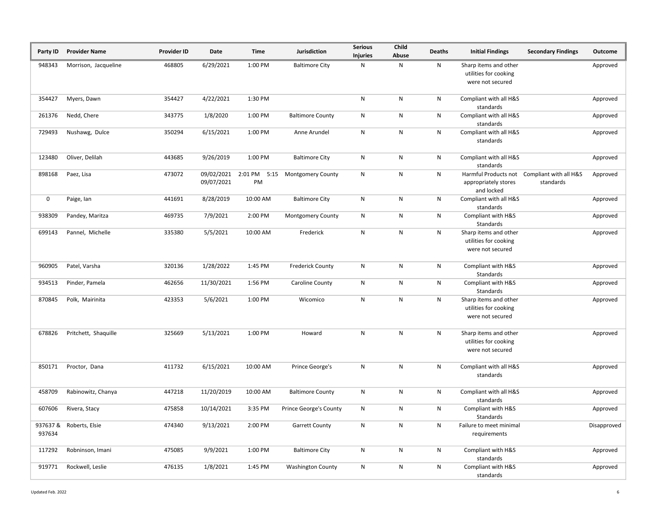| Party ID | <b>Provider Name</b>    | <b>Provider ID</b> | Date                     | Time     | Jurisdiction                   | <b>Serious</b><br><b>Injuries</b> | Child<br>Abuse | Deaths | <b>Initial Findings</b>                                            | <b>Secondary Findings</b>                                | Outcome     |
|----------|-------------------------|--------------------|--------------------------|----------|--------------------------------|-----------------------------------|----------------|--------|--------------------------------------------------------------------|----------------------------------------------------------|-------------|
| 948343   | Morrison, Jacqueline    | 468805             | 6/29/2021                | 1:00 PM  | <b>Baltimore City</b>          | N                                 | Ν              | N      | Sharp items and other<br>utilities for cooking<br>were not secured |                                                          | Approved    |
| 354427   | Myers, Dawn             | 354427             | 4/22/2021                | 1:30 PM  |                                | ${\sf N}$                         | ${\sf N}$      | N      | Compliant with all H&S<br>standards                                |                                                          | Approved    |
| 261376   | Nedd, Chere             | 343775             | 1/8/2020                 | 1:00 PM  | <b>Baltimore County</b>        | N                                 | N              | N      | Compliant with all H&S<br>standards                                |                                                          | Approved    |
| 729493   | Nushawg, Dulce          | 350294             | 6/15/2021                | 1:00 PM  | Anne Arundel                   | N                                 | ${\sf N}$      | N      | Compliant with all H&S<br>standards                                |                                                          | Approved    |
| 123480   | Oliver, Delilah         | 443685             | 9/26/2019                | 1:00 PM  | <b>Baltimore City</b>          | ${\sf N}$                         | ${\sf N}$      | N      | Compliant with all H&S<br>standards                                |                                                          | Approved    |
| 898168   | Paez, Lisa              | 473072             | 09/02/2021<br>09/07/2021 | PM       | 2:01 PM 5:15 Montgomery County | ${\sf N}$                         | ${\sf N}$      | N      | appropriately stores<br>and locked                                 | Harmful Products not Compliant with all H&S<br>standards | Approved    |
| 0        | Paige, lan              | 441691             | 8/28/2019                | 10:00 AM | <b>Baltimore City</b>          | ${\sf N}$                         | ${\sf N}$      | N      | Compliant with all H&S<br>standards                                |                                                          | Approved    |
| 938309   | Pandey, Maritza         | 469735             | 7/9/2021                 | 2:00 PM  | <b>Montgomery County</b>       | N                                 | ${\sf N}$      | N      | Compliant with H&S<br>Standards                                    |                                                          | Approved    |
| 699143   | Pannel, Michelle        | 335380             | 5/5/2021                 | 10:00 AM | Frederick                      | ${\sf N}$                         | ${\sf N}$      | N      | Sharp items and other<br>utilities for cooking<br>were not secured |                                                          | Approved    |
| 960905   | Patel, Varsha           | 320136             | 1/28/2022                | 1:45 PM  | <b>Frederick County</b>        | ${\sf N}$                         | N              | N      | Compliant with H&S<br>Standards                                    |                                                          | Approved    |
| 934513   | Pinder, Pamela          | 462656             | 11/30/2021               | 1:56 PM  | Caroline County                | N                                 | N              | N      | Compliant with H&S<br>Standards                                    |                                                          | Approved    |
| 870845   | Polk, Mairinita         | 423353             | 5/6/2021                 | 1:00 PM  | Wicomico                       | ${\sf N}$                         | ${\sf N}$      | N      | Sharp items and other<br>utilities for cooking<br>were not secured |                                                          | Approved    |
| 678826   | Pritchett, Shaquille    | 325669             | 5/13/2021                | 1:00 PM  | Howard                         | ${\sf N}$                         | ${\sf N}$      | N      | Sharp items and other<br>utilities for cooking<br>were not secured |                                                          | Approved    |
| 850171   | Proctor, Dana           | 411732             | 6/15/2021                | 10:00 AM | Prince George's                | ${\sf N}$                         | ${\sf N}$      | N      | Compliant with all H&S<br>standards                                |                                                          | Approved    |
| 458709   | Rabinowitz, Chanya      | 447218             | 11/20/2019               | 10:00 AM | <b>Baltimore County</b>        | N                                 | N              | N      | Compliant with all H&S<br>standards                                |                                                          | Approved    |
| 607606   | Rivera, Stacy           | 475858             | 10/14/2021               | 3:35 PM  | Prince George's County         | N                                 | N              | N      | Compliant with H&S<br>Standards                                    |                                                          | Approved    |
| 937634   | 937637 & Roberts, Elsie | 474340             | 9/13/2021                | 2:00 PM  | <b>Garrett County</b>          | N                                 | ${\sf N}$      | N      | Failure to meet minimal<br>requirements                            |                                                          | Disapproved |
| 117292   | Robninson, Imani        | 475085             | 9/9/2021                 | 1:00 PM  | <b>Baltimore City</b>          | N                                 | N              | N      | Compliant with H&S<br>standards                                    |                                                          | Approved    |
| 919771   | Rockwell, Leslie        | 476135             | 1/8/2021                 | 1:45 PM  | <b>Washington County</b>       | N                                 | N              | N      | Compliant with H&S<br>standards                                    |                                                          | Approved    |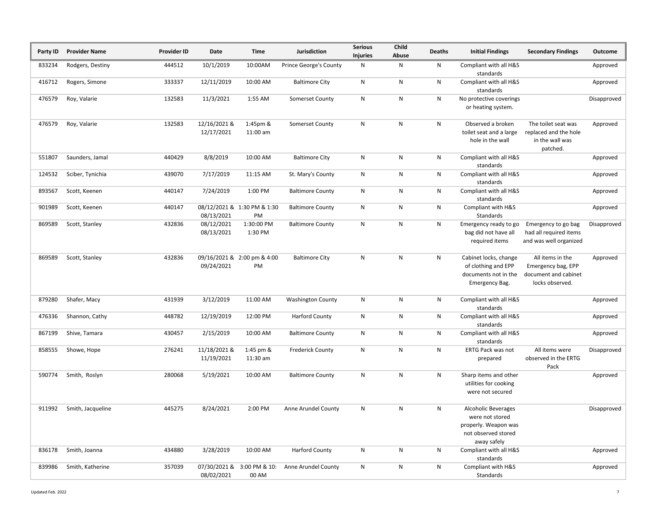| Party ID | <b>Provider Name</b> | <b>Provider ID</b> | Date                       | Time                              | Jurisdiction                  | <b>Serious</b><br><b>Injuries</b> | Child<br>Abuse | <b>Deaths</b> | <b>Initial Findings</b>                                                                                     | <b>Secondary Findings</b>                                                         | Outcome     |
|----------|----------------------|--------------------|----------------------------|-----------------------------------|-------------------------------|-----------------------------------|----------------|---------------|-------------------------------------------------------------------------------------------------------------|-----------------------------------------------------------------------------------|-------------|
| 833234   | Rodgers, Destiny     | 444512             | 10/1/2019                  | 10:00AM                           | <b>Prince George's County</b> | Ν                                 | N              | N             | Compliant with all H&S<br>standards                                                                         |                                                                                   | Approved    |
| 416712   | Rogers, Simone       | 333337             | 12/11/2019                 | 10:00 AM                          | <b>Baltimore City</b>         | N                                 | ${\sf N}$      | N             | Compliant with all H&S<br>standards                                                                         |                                                                                   | Approved    |
| 476579   | Roy, Valarie         | 132583             | 11/3/2021                  | 1:55 AM                           | Somerset County               | N                                 | ${\sf N}$      | N             | No protective coverings<br>or heating system.                                                               |                                                                                   | Disapproved |
| 476579   | Roy, Valarie         | 132583             | 12/16/2021 &<br>12/17/2021 | 1:45pm &<br>11:00 am              | Somerset County               | N                                 | N              | N             | Observed a broken<br>toilet seat and a large<br>hole in the wall                                            | The toilet seat was<br>replaced and the hole<br>in the wall was<br>patched.       | Approved    |
| 551807   | Saunders, Jamal      | 440429             | 8/8/2019                   | 10:00 AM                          | <b>Baltimore City</b>         | N                                 | ${\sf N}$      | ${\sf N}$     | Compliant with all H&S<br>standards                                                                         |                                                                                   | Approved    |
| 124532   | Sciber, Tynichia     | 439070             | 7/17/2019                  | 11:15 AM                          | St. Mary's County             | ${\sf N}$                         | ${\sf N}$      | N             | Compliant with all H&S<br>standards                                                                         |                                                                                   | Approved    |
| 893567   | Scott, Keenen        | 440147             | 7/24/2019                  | 1:00 PM                           | <b>Baltimore County</b>       | N                                 | ${\sf N}$      | ${\sf N}$     | Compliant with all H&S<br>standards                                                                         |                                                                                   | Approved    |
| 901989   | Scott, Keenen        | 440147             | 08/13/2021                 | 08/12/2021 & 1:30 PM & 1:30<br>PM | <b>Baltimore County</b>       | N                                 | N              | N             | Compliant with H&S<br>Standards                                                                             |                                                                                   | Approved    |
| 869589   | Scott, Stanley       | 432836             | 08/12/2021<br>08/13/2021   | 1:30:00 PM<br>1:30 PM             | <b>Baltimore County</b>       | N                                 | N              | N             | Emergency ready to go<br>bag did not have all<br>required items                                             | Emergency to go bag<br>had all required items<br>and was well organized           | Disapproved |
| 869589   | Scott, Stanley       | 432836             | 09/24/2021                 | 09/16/2021 & 2:00 pm & 4:00<br>PM | <b>Baltimore City</b>         | N                                 | N              | N             | Cabinet locks, change<br>of clothing and EPP<br>documents not in the<br>Emergency Bag.                      | All items in the<br>Emergency bag, EPP<br>document and cabinet<br>locks observed. | Approved    |
| 879280   | Shafer, Macy         | 431939             | 3/12/2019                  | 11:00 AM                          | <b>Washington County</b>      | N                                 | N              | N             | Compliant with all H&S<br>standards                                                                         |                                                                                   | Approved    |
| 476336   | Shannon, Cathy       | 448782             | 12/19/2019                 | 12:00 PM                          | <b>Harford County</b>         | ${\sf N}$                         | ${\sf N}$      | ${\sf N}$     | Compliant with all H&S<br>standards                                                                         |                                                                                   | Approved    |
| 867199   | Shive, Tamara        | 430457             | 2/15/2019                  | 10:00 AM                          | <b>Baltimore County</b>       | N                                 | ${\sf N}$      | N             | Compliant with all H&S<br>standards                                                                         |                                                                                   | Approved    |
| 858555   | Showe, Hope          | 276241             | 11/18/2021 &<br>11/19/2021 | 1:45 pm &<br>11:30 am             | <b>Frederick County</b>       | N                                 | N              | N             | ERTG Pack was not<br>prepared                                                                               | All items were<br>observed in the ERTG<br>Pack                                    | Disapproved |
| 590774   | Smith, Roslyn        | 280068             | 5/19/2021                  | 10:00 AM                          | <b>Baltimore County</b>       | ${\sf N}$                         | ${\sf N}$      | N             | Sharp items and other<br>utilities for cooking<br>were not secured                                          |                                                                                   | Approved    |
| 911992   | Smith, Jacqueline    | 445275             | 8/24/2021                  | 2:00 PM                           | Anne Arundel County           | N                                 | N              | Ν             | <b>Alcoholic Beverages</b><br>were not stored<br>properly. Weapon was<br>not observed stored<br>away safely |                                                                                   | Disapproved |
| 836178   | Smith, Joanna        | 434880             | 3/28/2019                  | 10:00 AM                          | <b>Harford County</b>         | N                                 | ${\sf N}$      | N             | Compliant with all H&S<br>standards                                                                         |                                                                                   | Approved    |
| 839986   | Smith, Katherine     | 357039             | 07/30/2021&<br>08/02/2021  | 3:00 PM & 10:<br>00 AM            | Anne Arundel County           | N                                 | N              | N             | Compliant with H&S<br>Standards                                                                             |                                                                                   | Approved    |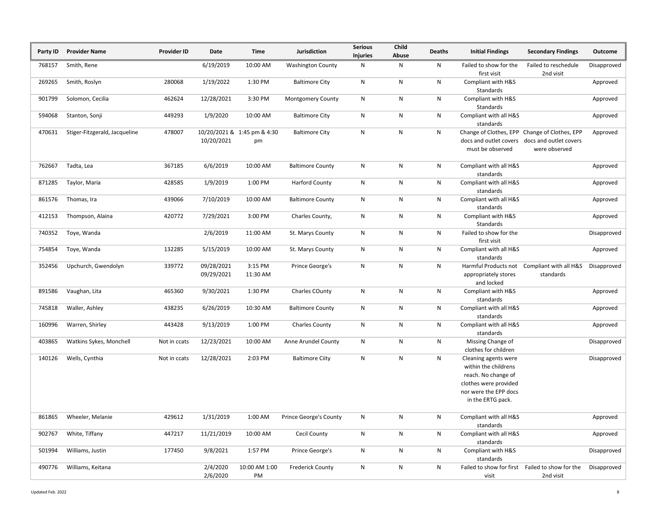| Party ID | <b>Provider Name</b>          | <b>Provider ID</b> | Date                     | <b>Time</b>                       | <b>Jurisdiction</b>           | <b>Serious</b><br><b>Injuries</b> | Child<br>Abuse | <b>Deaths</b> | <b>Initial Findings</b>                                                                                                                    | <b>Secondary Findings</b>                                                                                       | Outcome     |
|----------|-------------------------------|--------------------|--------------------------|-----------------------------------|-------------------------------|-----------------------------------|----------------|---------------|--------------------------------------------------------------------------------------------------------------------------------------------|-----------------------------------------------------------------------------------------------------------------|-------------|
| 768157   | Smith, Rene                   |                    | 6/19/2019                | 10:00 AM                          | <b>Washington County</b>      | ${\sf N}$                         | N              | N             | Failed to show for the<br>first visit                                                                                                      | Failed to reschedule<br>2nd visit                                                                               | Disapproved |
| 269265   | Smith, Roslyn                 | 280068             | 1/19/2022                | 1:30 PM                           | <b>Baltimore City</b>         | $\mathsf{N}$                      | N              | N             | Compliant with H&S<br>Standards                                                                                                            |                                                                                                                 | Approved    |
| 901799   | Solomon, Cecilia              | 462624             | 12/28/2021               | 3:30 PM                           | Montgomery County             | Ν                                 | N              | N             | Compliant with H&S<br>Standards                                                                                                            |                                                                                                                 | Approved    |
| 594068   | Stanton, Sonji                | 449293             | 1/9/2020                 | 10:00 AM                          | <b>Baltimore City</b>         | N                                 | N              | N             | Compliant with all H&S<br>standards                                                                                                        |                                                                                                                 | Approved    |
| 470631   | Stiger-Fitzgerald, Jacqueline | 478007             | 10/20/2021               | 10/20/2021 & 1:45 pm & 4:30<br>pm | <b>Baltimore City</b>         | ${\sf N}$                         | ${\sf N}$      | N             | must be observed                                                                                                                           | Change of Clothes, EPP Change of Clothes, EPP<br>docs and outlet covers docs and outlet covers<br>were observed | Approved    |
| 762667   | Tadta, Lea                    | 367185             | 6/6/2019                 | 10:00 AM                          | <b>Baltimore County</b>       | ${\sf N}$                         | N              | N             | Compliant with all H&S<br>standards                                                                                                        |                                                                                                                 | Approved    |
| 871285   | Taylor, Maria                 | 428585             | 1/9/2019                 | 1:00 PM                           | <b>Harford County</b>         | $\mathsf{N}$                      | ${\sf N}$      | N             | Compliant with all H&S<br>standards                                                                                                        |                                                                                                                 | Approved    |
| 861576   | Thomas, Ira                   | 439066             | 7/10/2019                | 10:00 AM                          | <b>Baltimore County</b>       | ${\sf N}$                         | ${\sf N}$      | N             | Compliant with all H&S<br>standards                                                                                                        |                                                                                                                 | Approved    |
| 412153   | Thompson, Alaina              | 420772             | 7/29/2021                | 3:00 PM                           | Charles County,               | ${\sf N}$                         | N              | N             | Compliant with H&S<br>Standards                                                                                                            |                                                                                                                 | Approved    |
| 740352   | Toye, Wanda                   |                    | 2/6/2019                 | 11:00 AM                          | St. Marys County              | N                                 | N              | N             | Failed to show for the<br>first visit                                                                                                      |                                                                                                                 | Disapproved |
| 754854   | Toye, Wanda                   | 132285             | 5/15/2019                | 10:00 AM                          | St. Marys County              | N                                 | ${\sf N}$      | N             | Compliant with all H&S<br>standards                                                                                                        |                                                                                                                 | Approved    |
| 352456   | Upchurch, Gwendolyn           | 339772             | 09/28/2021<br>09/29/2021 | 3:15 PM<br>11:30 AM               | Prince George's               | N                                 | ${\sf N}$      | N             | Harmful Products not<br>appropriately stores<br>and locked                                                                                 | Compliant with all H&S<br>standards                                                                             | Disapproved |
| 891586   | Vaughan, Lita                 | 465360             | 9/30/2021                | 1:30 PM                           | Charles COunty                | N                                 | ${\sf N}$      | N             | Compliant with H&S<br>standards                                                                                                            |                                                                                                                 | Approved    |
| 745818   | Waller, Ashley                | 438235             | 6/26/2019                | 10:30 AM                          | <b>Baltimore County</b>       | N                                 | N              | N             | Compliant with all H&S<br>standards                                                                                                        |                                                                                                                 | Approved    |
| 160996   | Warren, Shirley               | 443428             | 9/13/2019                | 1:00 PM                           | <b>Charles County</b>         | $\mathsf{N}$                      | N              | N             | Compliant with all H&S<br>standards                                                                                                        |                                                                                                                 | Approved    |
| 403865   | Watkins Sykes, Monchell       | Not in ccats       | 12/23/2021               | 10:00 AM                          | Anne Arundel County           | N                                 | N              | ${\sf N}$     | Missing Change of<br>clothes for children                                                                                                  |                                                                                                                 | Disapproved |
| 140126   | Wells, Cynthia                | Not in ccats       | 12/28/2021               | 2:03 PM                           | <b>Baltimore Ciity</b>        | N                                 | N              | N             | Cleaning agents were<br>within the childrens<br>reach. No change of<br>clothes were provided<br>nor were the EPP docs<br>in the ERTG pack. |                                                                                                                 | Disapproved |
| 861865   | Wheeler, Melanie              | 429612             | 1/31/2019                | 1:00 AM                           | <b>Prince George's County</b> | N                                 | ${\sf N}$      | N             | Compliant with all H&S<br>standards                                                                                                        |                                                                                                                 | Approved    |
| 902767   | White, Tiffany                | 447217             | 11/21/2019               | 10:00 AM                          | <b>Cecil County</b>           | $\mathsf{N}$                      | ${\sf N}$      | N             | Compliant with all H&S<br>standards                                                                                                        |                                                                                                                 | Approved    |
| 501994   | Williams, Justin              | 177450             | 9/8/2021                 | 1:57 PM                           | Prince George's               | $\mathsf{N}$                      | N              | N             | Compliant with H&S<br>standards                                                                                                            |                                                                                                                 | Disapproved |
| 490776   | Williams, Keitana             |                    | 2/4/2020<br>2/6/2020     | 10:00 AM 1:00<br>PM               | <b>Frederick County</b>       | ${\sf N}$                         | ${\sf N}$      | N             | visit                                                                                                                                      | Failed to show for first Failed to show for the<br>2nd visit                                                    | Disapproved |